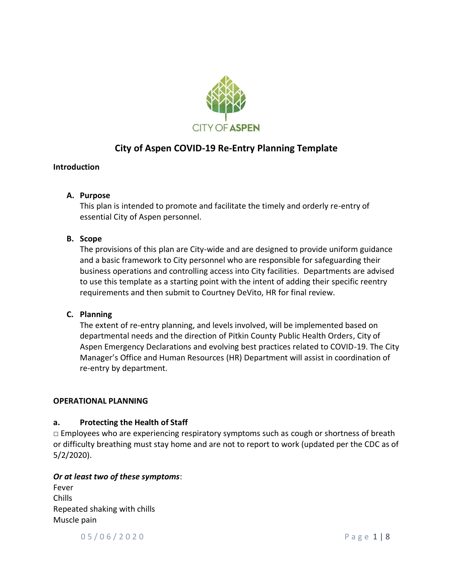

# **City of Aspen COVID-19 Re-Entry Planning Template**

## **Introduction**

## **A. Purpose**

This plan is intended to promote and facilitate the timely and orderly re-entry of essential City of Aspen personnel.

## **B. Scope**

The provisions of this plan are City-wide and are designed to provide uniform guidance and a basic framework to City personnel who are responsible for safeguarding their business operations and controlling access into City facilities. Departments are advised to use this template as a starting point with the intent of adding their specific reentry requirements and then submit to Courtney DeVito, HR for final review.

## **C. Planning**

The extent of re-entry planning, and levels involved, will be implemented based on departmental needs and the direction of Pitkin County Public Health Orders, City of Aspen Emergency Declarations and evolving best practices related to COVID-19. The City Manager's Office and Human Resources (HR) Department will assist in coordination of re-entry by department.

## **OPERATIONAL PLANNING**

## **a. Protecting the Health of Staff**

 $\Box$  Employees who are experiencing respiratory symptoms such as cough or shortness of breath or difficulty breathing must stay home and are not to report to work (updated per the CDC as of 5/2/2020).

## *Or at least two of these symptoms*:

Fever Chills Repeated shaking with chills Muscle pain

0 5 / 0 6 / 2 0 2 0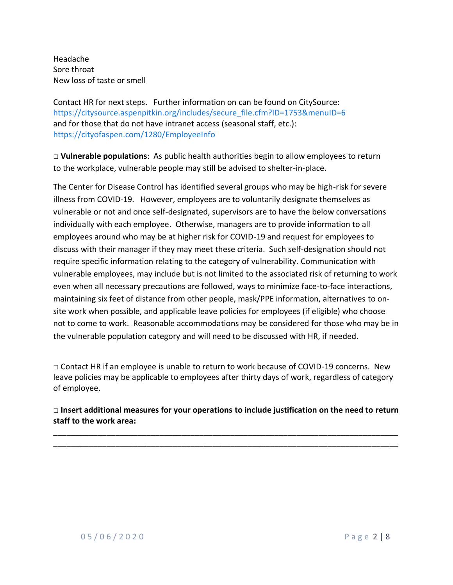Headache Sore throat New loss of taste or smell

Contact HR for next steps. Further information on can be found on CitySource: [https://citysource.aspenpitkin.org/includes/secure\\_file.cfm?ID=1753&menuID=6](https://citysource.aspenpitkin.org/includes/secure_file.cfm?ID=1753&menuID=6) and for those that do not have intranet access (seasonal staff, etc.): <https://cityofaspen.com/1280/EmployeeInfo>

□ **Vulnerable populations**: As public health authorities begin to allow employees to return to the workplace, vulnerable people may still be advised to shelter-in-place.

The Center for Disease Control has identified several groups who may be high-risk for severe illness from COVID-19. However, employees are to voluntarily designate themselves as vulnerable or not and once self-designated, supervisors are to have the below conversations individually with each employee. Otherwise, managers are to provide information to all employees around who may be at higher risk for COVID-19 and request for employees to discuss with their manager if they may meet these criteria. Such self-designation should not require specific information relating to the category of vulnerability. Communication with vulnerable employees, may include but is not limited to the associated risk of returning to work even when all necessary precautions are followed, ways to minimize face-to-face interactions, maintaining six feet of distance from other people, mask/PPE information, alternatives to onsite work when possible, and applicable leave policies for employees (if eligible) who choose not to come to work. Reasonable accommodations may be considered for those who may be in the vulnerable population category and will need to be discussed with HR, if needed.

 $\Box$  Contact HR if an employee is unable to return to work because of COVID-19 concerns. New leave policies may be applicable to employees after thirty days of work, regardless of category of employee.

**□ Insert additional measures for your operations to include justification on the need to return staff to the work area:**

**\_\_\_\_\_\_\_\_\_\_\_\_\_\_\_\_\_\_\_\_\_\_\_\_\_\_\_\_\_\_\_\_\_\_\_\_\_\_\_\_\_\_\_\_\_\_\_\_\_\_\_\_\_\_\_\_\_\_\_\_\_\_\_\_\_\_\_\_\_\_\_\_\_\_\_\_\_\_ \_\_\_\_\_\_\_\_\_\_\_\_\_\_\_\_\_\_\_\_\_\_\_\_\_\_\_\_\_\_\_\_\_\_\_\_\_\_\_\_\_\_\_\_\_\_\_\_\_\_\_\_\_\_\_\_\_\_\_\_\_\_\_\_\_\_\_\_\_\_\_\_\_\_\_\_\_\_**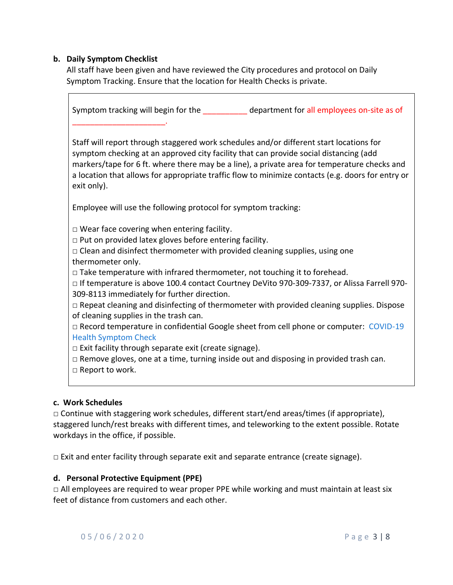## **b. Daily Symptom Checklist**

All staff have been given and have reviewed the City procedures and protocol on Daily Symptom Tracking. Ensure that the location for Health Checks is private.

Symptom tracking will begin for the department for all employees on-site as of \_\_\_\_\_\_\_\_\_\_\_\_\_\_\_\_\_\_\_\_\_. Staff will report through staggered work schedules and/or different start locations for symptom checking at an approved city facility that can provide social distancing (add markers/tape for 6 ft. where there may be a line), a private area for temperature checks and a location that allows for appropriate traffic flow to minimize contacts (e.g. doors for entry or exit only). Employee will use the following protocol for symptom tracking:  $\Box$  Wear face covering when entering facility.  $\Box$  Put on provided latex gloves before entering facility.  $\Box$  Clean and disinfect thermometer with provided cleaning supplies, using one thermometer only.  $\Box$  Take temperature with infrared thermometer, not touching it to forehead. □ If temperature is above 100.4 contact Courtney DeVito 970-309-7337, or Alissa Farrell 970- 309-8113 immediately for further direction.  $\Box$  Repeat cleaning and disinfecting of thermometer with provided cleaning supplies. Dispose of cleaning supplies in the trash can. □ Record temperature in confidential Google sheet from cell phone or computer: COVID-19 [Health Symptom Check](https://forms.gle/uLS5fknvpESQiyGp6)  $\Box$  Exit facility through separate exit (create signage). □ Remove gloves, one at a time, turning inside out and disposing in provided trash can. □ Report to work.

## **c. Work Schedules**

□ Continue with staggering work schedules, different start/end areas/times (if appropriate), staggered lunch/rest breaks with different times, and teleworking to the extent possible. Rotate workdays in the office, if possible.

 $\Box$  Exit and enter facility through separate exit and separate entrance (create signage).

## **d. Personal Protective Equipment (PPE)**

 $\Box$  All employees are required to wear proper PPE while working and must maintain at least six feet of distance from customers and each other.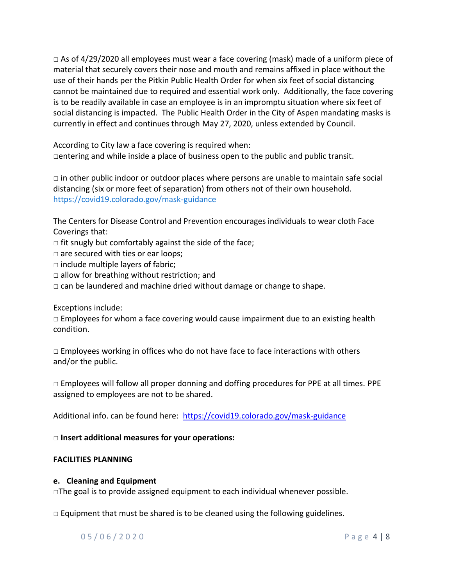$\Box$  As of 4/29/2020 all employees must wear a face covering (mask) made of a uniform piece of material that securely covers their nose and mouth and remains affixed in place without the use of their hands per the Pitkin Public Health Order for when six feet of social distancing cannot be maintained due to required and essential work only. Additionally, the face covering is to be readily available in case an employee is in an impromptu situation where six feet of social distancing is impacted. The Public Health Order in the City of Aspen mandating masks is currently in effect and continues through May 27, 2020, unless extended by Council.

According to City law a face covering is required when:  $\Box$ entering and while inside a place of business open to the public and public transit.

 $\Box$  in other public indoor or outdoor places where persons are unable to maintain safe social distancing (six or more feet of separation) from others not of their own household. <https://covid19.colorado.gov/mask-guidance>

The Centers for Disease Control and Prevention encourages individuals to wear cloth Face Coverings that:

- $\Box$  fit snugly but comfortably against the side of the face;
- $\square$  are secured with ties or ear loops;
- $\square$  include multiple layers of fabric;
- $\Box$  allow for breathing without restriction; and
- $\Box$  can be laundered and machine dried without damage or change to shape.

Exceptions include:

 $\Box$  Employees for whom a face covering would cause impairment due to an existing health condition.

 $\square$  Employees working in offices who do not have face to face interactions with others and/or the public.

□ Employees will follow all proper donning and doffing procedures for PPE at all times. PPE assigned to employees are not to be shared.

Additional info. can be found here: <https://covid19.colorado.gov/mask-guidance>

# □ **Insert additional measures for your operations:**

# **FACILITIES PLANNING**

## **e. Cleaning and Equipment**

 $\Box$ The goal is to provide assigned equipment to each individual whenever possible.

 $\Box$  Equipment that must be shared is to be cleaned using the following guidelines.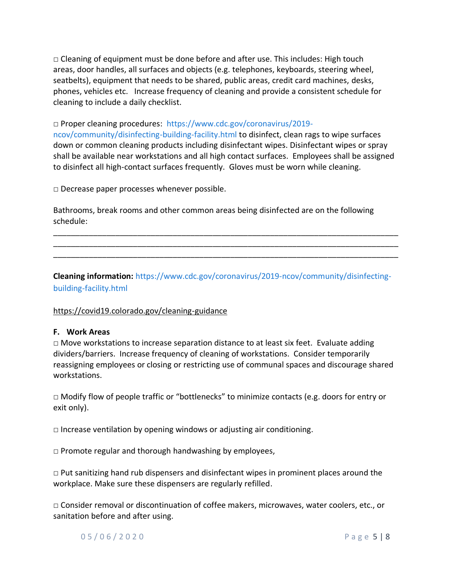$\Box$  Cleaning of equipment must be done before and after use. This includes: High touch areas, door handles, all surfaces and objects (e.g. telephones, keyboards, steering wheel, seatbelts), equipment that needs to be shared, public areas, credit card machines, desks, phones, vehicles etc. Increase frequency of cleaning and provide a consistent schedule for cleaning to include a daily checklist.

□ Proper cleaning procedures: [https://www.cdc.gov/coronavirus/2019](https://www.cdc.gov/coronavirus/2019-ncov/community/disinfecting-building-facility.html) [ncov/community/disinfecting-building-facility.html](https://www.cdc.gov/coronavirus/2019-ncov/community/disinfecting-building-facility.html) to disinfect, clean rags to wipe surfaces down or common cleaning products including disinfectant wipes. Disinfectant wipes or spray shall be available near workstations and all high contact surfaces. Employees shall be assigned to disinfect all high-contact surfaces frequently. Gloves must be worn while cleaning.

□ Decrease paper processes whenever possible.

Bathrooms, break rooms and other common areas being disinfected are on the following schedule:

**Cleaning information:** [https://www.cdc.gov/coronavirus/2019-ncov/community/disinfecting](https://www.cdc.gov/coronavirus/2019-ncov/community/disinfecting-building-facility.html)[building-facility.html](https://www.cdc.gov/coronavirus/2019-ncov/community/disinfecting-building-facility.html)

\_\_\_\_\_\_\_\_\_\_\_\_\_\_\_\_\_\_\_\_\_\_\_\_\_\_\_\_\_\_\_\_\_\_\_\_\_\_\_\_\_\_\_\_\_\_\_\_\_\_\_\_\_\_\_\_\_\_\_\_\_\_\_\_\_\_\_\_\_\_\_\_\_\_\_\_\_\_ \_\_\_\_\_\_\_\_\_\_\_\_\_\_\_\_\_\_\_\_\_\_\_\_\_\_\_\_\_\_\_\_\_\_\_\_\_\_\_\_\_\_\_\_\_\_\_\_\_\_\_\_\_\_\_\_\_\_\_\_\_\_\_\_\_\_\_\_\_\_\_\_\_\_\_\_\_\_ \_\_\_\_\_\_\_\_\_\_\_\_\_\_\_\_\_\_\_\_\_\_\_\_\_\_\_\_\_\_\_\_\_\_\_\_\_\_\_\_\_\_\_\_\_\_\_\_\_\_\_\_\_\_\_\_\_\_\_\_\_\_\_\_\_\_\_\_\_\_\_\_\_\_\_\_\_\_

## https://covid19.colorado.gov/cleaning-guidance

#### **F. Work Areas**

 $\Box$  Move workstations to increase separation distance to at least six feet. Evaluate adding dividers/barriers. Increase frequency of cleaning of workstations. Consider temporarily reassigning employees or closing or restricting use of communal spaces and discourage shared workstations.

 $\Box$  Modify flow of people traffic or "bottlenecks" to minimize contacts (e.g. doors for entry or exit only).

 $\Box$  Increase ventilation by opening windows or adjusting air conditioning.

 $\square$  Promote regular and thorough handwashing by employees,

 $\Box$  Put sanitizing hand rub dispensers and disinfectant wipes in prominent places around the workplace. Make sure these dispensers are regularly refilled.

□ Consider removal or discontinuation of coffee makers, microwaves, water coolers, etc., or sanitation before and after using.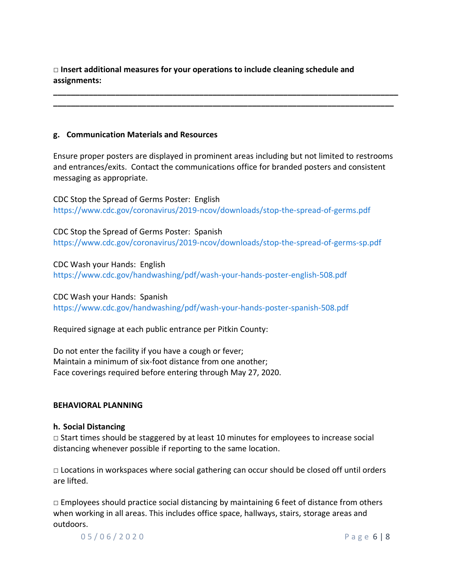□ **Insert additional measures for your operations to include cleaning schedule and assignments:**

#### **g. Communication Materials and Resources**

Ensure proper posters are displayed in prominent areas including but not limited to restrooms and entrances/exits. Contact the communications office for branded posters and consistent messaging as appropriate.

**\_\_\_\_\_\_\_\_\_\_\_\_\_\_\_\_\_\_\_\_\_\_\_\_\_\_\_\_\_\_\_\_\_\_\_\_\_\_\_\_\_\_\_\_\_\_\_\_\_\_\_\_\_\_\_\_\_\_\_\_\_\_\_\_\_\_\_\_\_\_\_\_\_\_\_\_\_\_ \_\_\_\_\_\_\_\_\_\_\_\_\_\_\_\_\_\_\_\_\_\_\_\_\_\_\_\_\_\_\_\_\_\_\_\_\_\_\_\_\_\_\_\_\_\_\_\_\_\_\_\_\_\_\_\_\_\_\_\_\_\_\_\_\_\_\_\_\_\_\_\_\_\_\_\_\_**

CDC Stop the Spread of Germs Poster: English <https://www.cdc.gov/coronavirus/2019-ncov/downloads/stop-the-spread-of-germs.pdf>

CDC Stop the Spread of Germs Poster: Spanish <https://www.cdc.gov/coronavirus/2019-ncov/downloads/stop-the-spread-of-germs-sp.pdf>

CDC Wash your Hands: English <https://www.cdc.gov/handwashing/pdf/wash-your-hands-poster-english-508.pdf>

CDC Wash your Hands: Spanish <https://www.cdc.gov/handwashing/pdf/wash-your-hands-poster-spanish-508.pdf>

Required signage at each public entrance per Pitkin County:

Do not enter the facility if you have a cough or fever; Maintain a minimum of six-foot distance from one another; Face coverings required before entering through May 27, 2020.

## **BEHAVIORAL PLANNING**

#### **h. Social Distancing**

 $\Box$  Start times should be staggered by at least 10 minutes for employees to increase social distancing whenever possible if reporting to the same location.

 $\Box$  Locations in workspaces where social gathering can occur should be closed off until orders are lifted.

 $\Box$  Employees should practice social distancing by maintaining 6 feet of distance from others when working in all areas. This includes office space, hallways, stairs, storage areas and outdoors.

0 5 / 0 6 / 2 0 2 0 **P** a g e **6 | 8**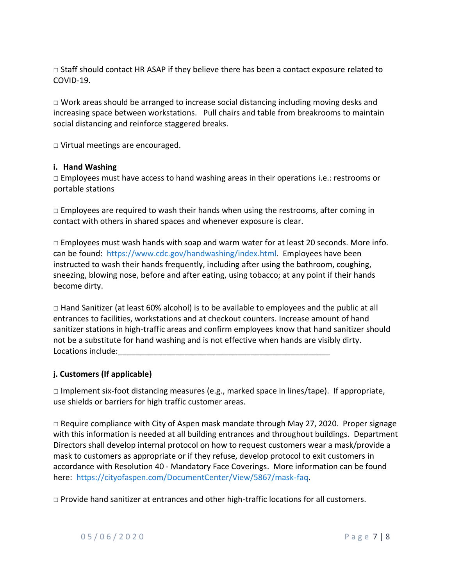$\Box$  Staff should contact HR ASAP if they believe there has been a contact exposure related to COVID-19.

 $\Box$  Work areas should be arranged to increase social distancing including moving desks and increasing space between workstations. Pull chairs and table from breakrooms to maintain social distancing and reinforce staggered breaks.

□ Virtual meetings are encouraged.

#### **i. Hand Washing**

 $\square$  Employees must have access to hand washing areas in their operations i.e.: restrooms or portable stations

 $\Box$  Employees are required to wash their hands when using the restrooms, after coming in contact with others in shared spaces and whenever exposure is clear.

 $\Box$  Employees must wash hands with soap and warm water for at least 20 seconds. More info. can be found: [https://www.cdc.gov/handwashing/index.html.](https://www.cdc.gov/handwashing/index.html) Employees have been instructed to wash their hands frequently, including after using the bathroom, coughing, sneezing, blowing nose, before and after eating, using tobacco; at any point if their hands become dirty.

 $\Box$  Hand Sanitizer (at least 60% alcohol) is to be available to employees and the public at all entrances to facilities, workstations and at checkout counters. Increase amount of hand sanitizer stations in high-traffic areas and confirm employees know that hand sanitizer should not be a substitute for hand washing and is not effective when hands are visibly dirty. Locations include:

## **j. Customers (If applicable)**

 $\Box$  Implement six-foot distancing measures (e.g., marked space in lines/tape). If appropriate, use shields or barriers for high traffic customer areas.

 $\Box$  Require compliance with City of Aspen mask mandate through May 27, 2020. Proper signage with this information is needed at all building entrances and throughout buildings. Department Directors shall develop internal protocol on how to request customers wear a mask/provide a mask to customers as appropriate or if they refuse, develop protocol to exit customers in accordance with Resolution 40 - Mandatory Face Coverings. More information can be found here: [https://cityofaspen.com/DocumentCenter/View/5867/mask-faq.](https://cityofaspen.com/DocumentCenter/View/5867/mask-faq)

 $\Box$  Provide hand sanitizer at entrances and other high-traffic locations for all customers.